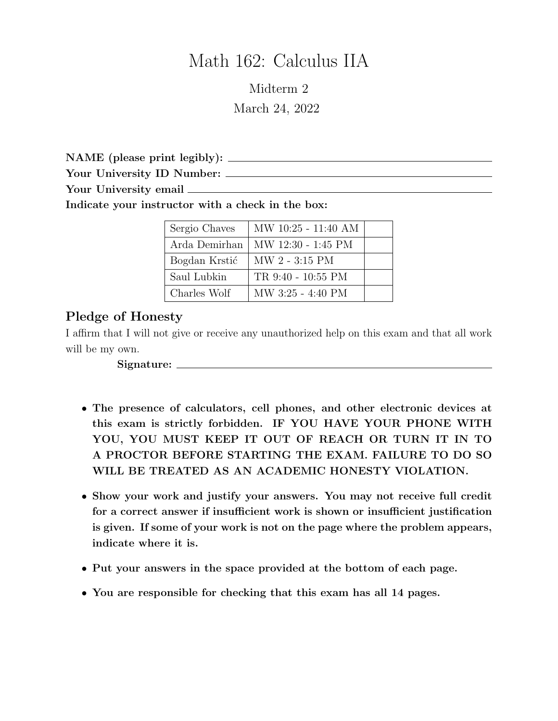# Math 162: Calculus IIA

Midterm 2 March 24, 2022

NAME (please print legibly):

Your University ID Number:

Your University email

Indicate your instructor with a check in the box:

| Sergio Chaves | MW 10:25 - 11:40 AM |  |
|---------------|---------------------|--|
| Arda Demirhan | MW 12:30 - 1:45 PM  |  |
| Bogdan Krstić | MW 2 - 3:15 PM      |  |
| Saul Lubkin   | TR 9:40 - 10:55 PM  |  |
| Charles Wolf  | MW 3:25 - 4:40 PM   |  |

## Pledge of Honesty

I affirm that I will not give or receive any unauthorized help on this exam and that all work will be my own.

Signature:

- The presence of calculators, cell phones, and other electronic devices at this exam is strictly forbidden. IF YOU HAVE YOUR PHONE WITH YOU, YOU MUST KEEP IT OUT OF REACH OR TURN IT IN TO A PROCTOR BEFORE STARTING THE EXAM. FAILURE TO DO SO WILL BE TREATED AS AN ACADEMIC HONESTY VIOLATION.
- Show your work and justify your answers. You may not receive full credit for a correct answer if insufficient work is shown or insufficient justification is given. If some of your work is not on the page where the problem appears, indicate where it is.
- Put your answers in the space provided at the bottom of each page.
- You are responsible for checking that this exam has all 14 pages.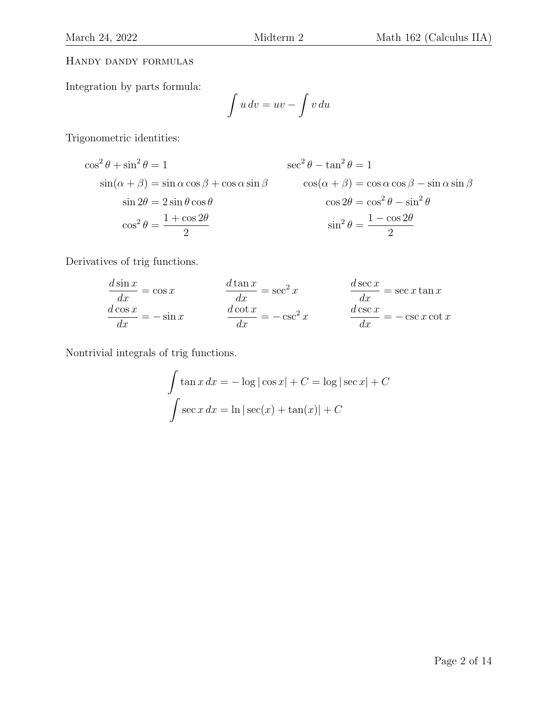#### Handy dandy formulas

Integration by parts formula:

$$
\int u\,dv = uv - \int v\,du
$$

Trigonometric identities:

$$
\cos^{2} \theta + \sin^{2} \theta = 1
$$
  
\n
$$
\sin(\alpha + \beta) = \sin \alpha \cos \beta + \cos \alpha \sin \beta
$$
  
\n
$$
\sin 2\theta = 2 \sin \theta \cos \theta
$$
  
\n
$$
\cos^{2} \theta = \frac{1 + \cos 2\theta}{2}
$$
  
\n
$$
\cos^{2} \theta = \frac{1 + \cos 2\theta}{2}
$$
  
\n
$$
\cos^{2} \theta = \frac{1 - \cos 2\theta}{2}
$$

Derivatives of trig functions.

$$
\frac{d \sin x}{dx} = \cos x \qquad \qquad \frac{d \tan x}{dx} = \sec^2 x \qquad \qquad \frac{d \sec x}{dx} = \sec x \tan x
$$

$$
\frac{d \cos x}{dx} = -\sin x \qquad \qquad \frac{d \cot x}{dx} = -\csc^2 x \qquad \qquad \frac{d \csc x}{dx} = -\csc x \cot x
$$

Nontrivial integrals of trig functions.

$$
\int \tan x \, dx = -\log|\cos x| + C = \log|\sec x| + C
$$

$$
\int \sec x \, dx = \ln|\sec(x) + \tan(x)| + C
$$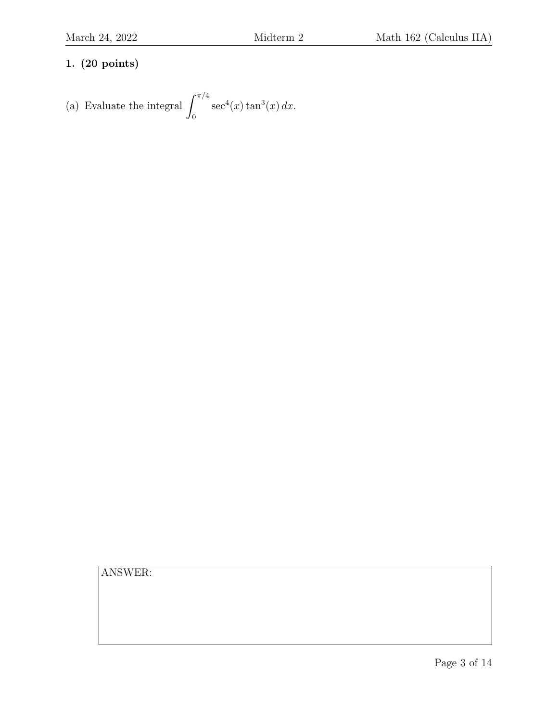(a) Evaluate the integral 
$$
\int_0^{\pi/4} \sec^4(x) \tan^3(x) dx
$$
.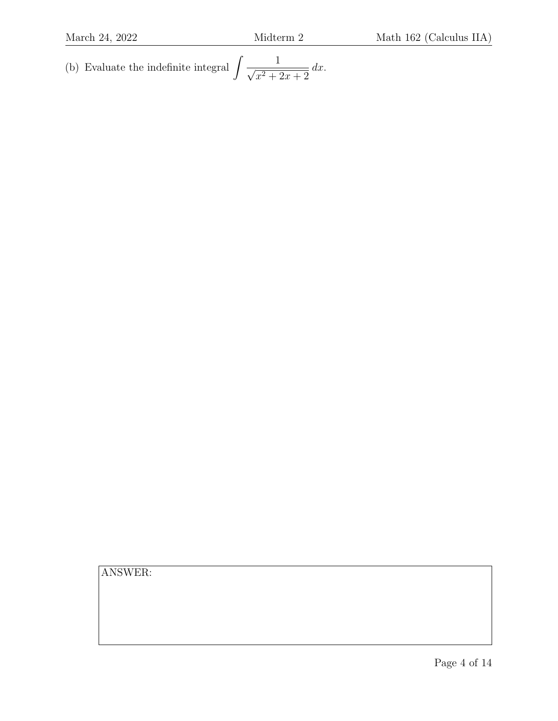(b) Evaluate the indefinite integral  $\left(\frac{1}{\sqrt{2}}\right)^{1/2}$  $x^2 + 2x + 2$  $dx$ .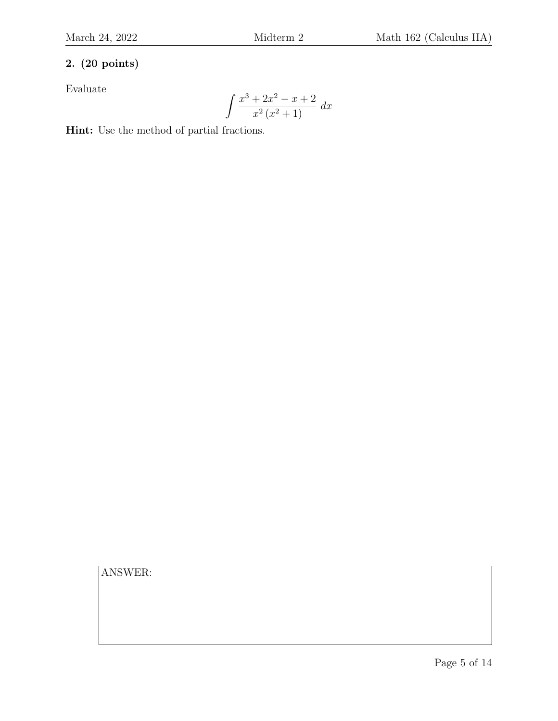Evaluate

$$
\int \frac{x^3 + 2x^2 - x + 2}{x^2 (x^2 + 1)} dx
$$

Hint: Use the method of partial fractions.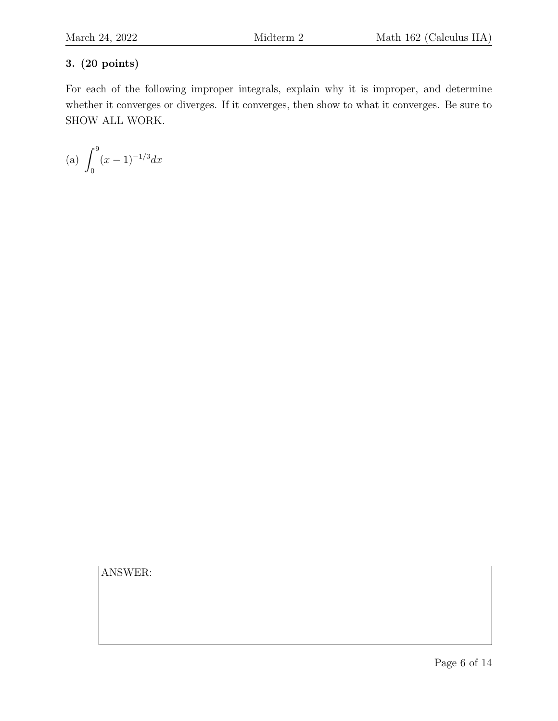For each of the following improper integrals, explain why it is improper, and determine whether it converges or diverges. If it converges, then show to what it converges. Be sure to SHOW ALL WORK.

(a) 
$$
\int_0^9 (x-1)^{-1/3} dx
$$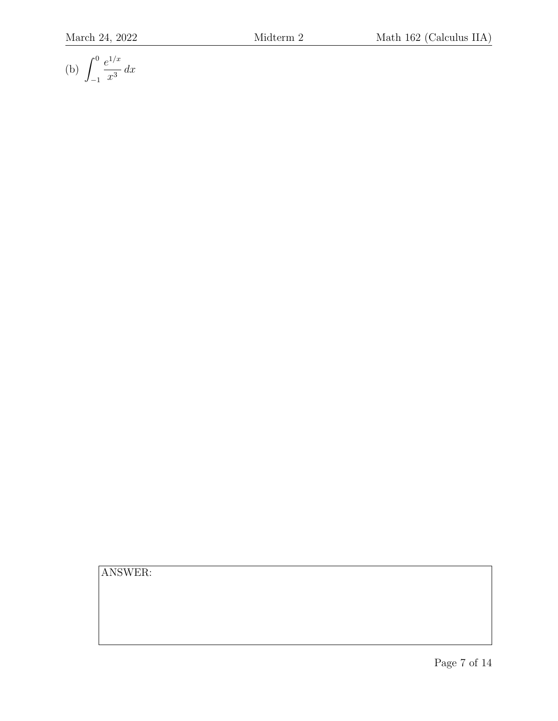(b) 
$$
\int_{-1}^{0} \frac{e^{1/x}}{x^3} dx
$$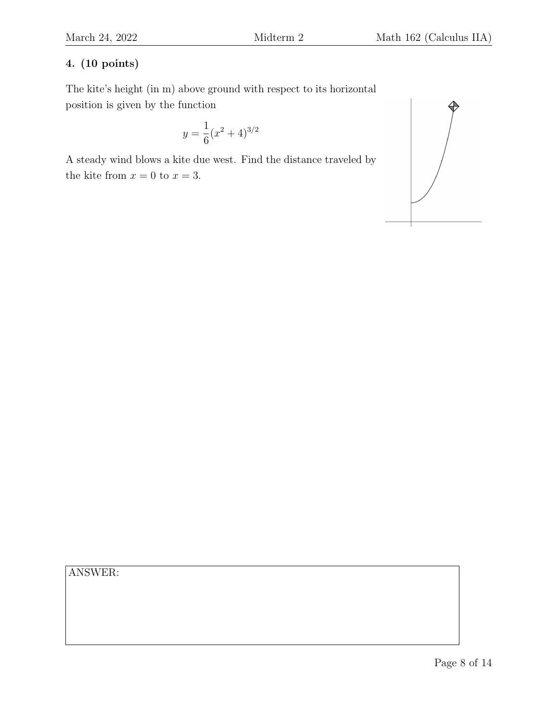The kite's height (in m) above ground with respect to its horizontal position is given by the function

$$
y = \frac{1}{6}(x^2 + 4)^{3/2}
$$

A steady wind blows a kite due west. Find the distance traveled by the kite from  $x = 0$  to  $x = 3$ .

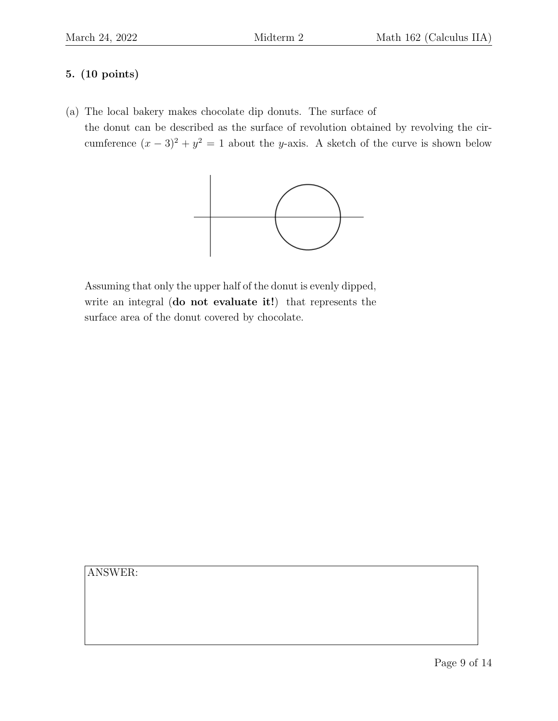(a) The local bakery makes chocolate dip donuts. The surface of

the donut can be described as the surface of revolution obtained by revolving the circumference  $(x-3)^2 + y^2 = 1$  about the y-axis. A sketch of the curve is shown below



Assuming that only the upper half of the donut is evenly dipped, write an integral (do not evaluate it!) that represents the surface area of the donut covered by chocolate.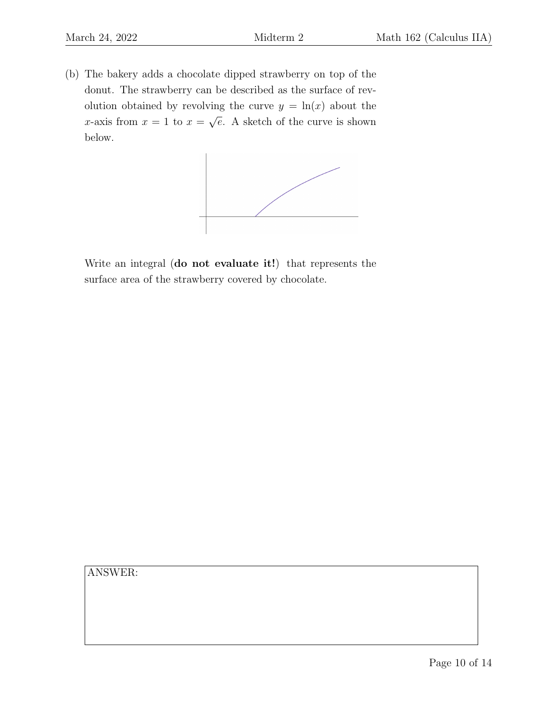(b) The bakery adds a chocolate dipped strawberry on top of the donut. The strawberry can be described as the surface of revolution obtained by revolving the curve  $y = \ln(x)$  about the x-axis from  $x = 1$  to  $x =$ √ e. A sketch of the curve is shown below.



Write an integral (do not evaluate it!) that represents the surface area of the strawberry covered by chocolate.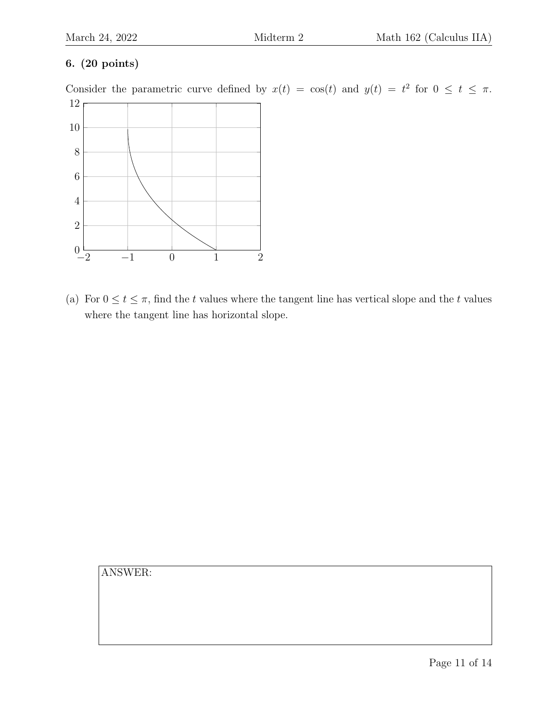Consider the parametric curve defined by  $x(t) = \cos(t)$  and  $y(t) = t^2$  for  $0 \le t \le \pi$ .



(a) For  $0 \le t \le \pi$ , find the t values where the tangent line has vertical slope and the t values where the tangent line has horizontal slope.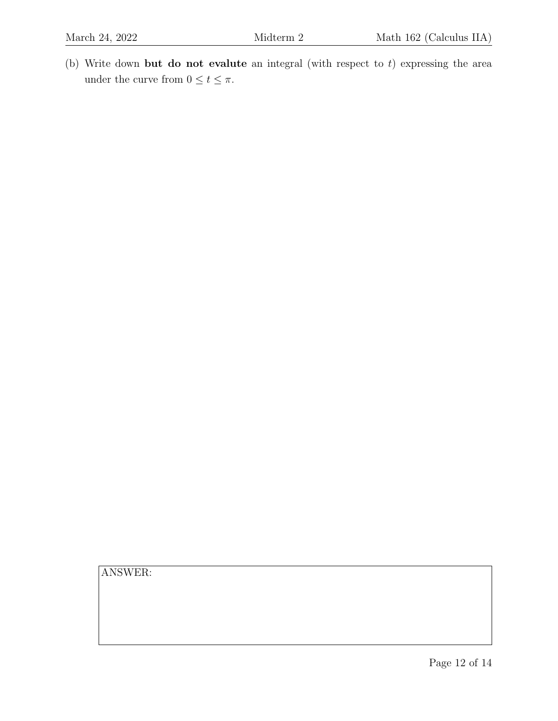(b) Write down but do not evalute an integral (with respect to  $t$ ) expressing the area under the curve from  $0\leq t\leq \pi.$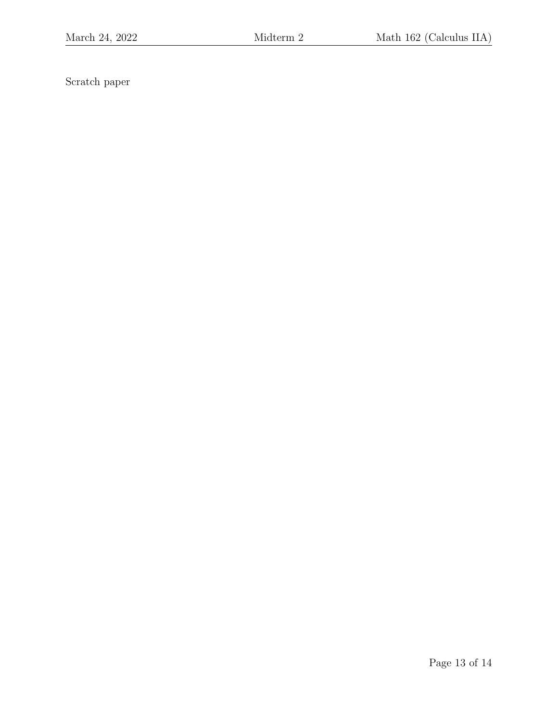Scratch paper